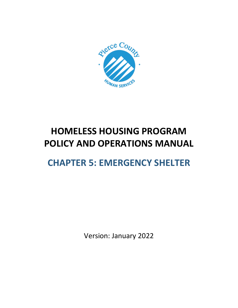

# **HOMELESS HOUSING PROGRAM POLICY AND OPERATIONS MANUAL**

# **CHAPTER 5: EMERGENCY SHELTER**

Version: January 2022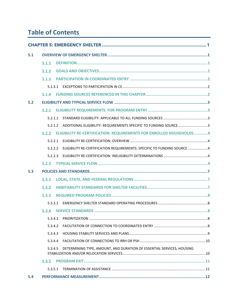# **Table of Contents**

| 5.1 |                                                                                    |
|-----|------------------------------------------------------------------------------------|
|     | 5.1.1                                                                              |
|     | 5.1.2                                                                              |
|     | 5.1.3                                                                              |
|     | 5.1.3.1                                                                            |
|     | 5.1.4                                                                              |
| 5.2 |                                                                                    |
|     | 5.2.1                                                                              |
|     | 5.2.1.1                                                                            |
|     | ADDITIONAL ELIGIBILITY: REQUIREMENTS SPECIFIC TO FUNDING SOURCE 3<br>5.2.1.2       |
|     | ELIGIBILITY RE-CERTIFICATION: REQUIREMENTS FOR ENROLLED HOUSEHOLDS4<br>5.2.2       |
|     | 5.2.2.1                                                                            |
|     | ELIGIBILITY RE-CERTIFICATION REQUIREMENTS: SPECIFIC TO FUNDING SOURCE 4<br>5.2.2.2 |
|     | 5.2.2.3                                                                            |
|     | 5.2.3                                                                              |
| 5.3 |                                                                                    |
|     | 5.3.1                                                                              |
|     | 5.3.2                                                                              |
|     | 5.3.3                                                                              |
|     | 5.3.3.1                                                                            |
|     | 5.3.4                                                                              |
|     | 5.3.4.1                                                                            |
|     | 5.3.4.2                                                                            |
|     | 5.3.4.3                                                                            |
|     | 5.3.4.4                                                                            |
|     | DETERMINING TYPE, AMOUNT, AND DURATION OF ESSENTIAL SERVICES, HOUSING<br>5.3.4.5   |
|     | 5.3.5                                                                              |
|     | 5.3.5.1                                                                            |
| 5.4 |                                                                                    |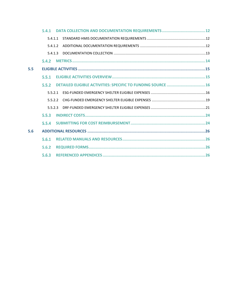|     | 5.4.1   |                                                              |  |
|-----|---------|--------------------------------------------------------------|--|
|     | 5.4.1.1 |                                                              |  |
|     | 5412    |                                                              |  |
|     | 5413    |                                                              |  |
|     | 5.4.2   |                                                              |  |
| 5.5 |         |                                                              |  |
|     | 5.5.1   |                                                              |  |
|     | 5.5.2   | DETAILED ELIGIBLE ACTIVITIES: SPECIFIC TO FUNDING SOURCE  16 |  |
|     | 5.5.2.1 |                                                              |  |
|     | 5.5.2.2 |                                                              |  |
|     | 5.5.2.3 |                                                              |  |
|     | 5.5.3   |                                                              |  |
|     | 5,5.4   |                                                              |  |
| 5.6 |         |                                                              |  |
|     | 5.6.1   |                                                              |  |
|     | 5.6.2   |                                                              |  |
|     | 5.6.3   |                                                              |  |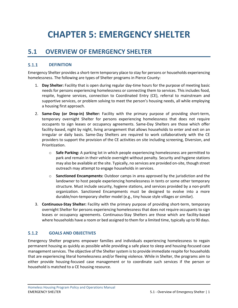# <span id="page-3-0"></span>**CHAPTER 5: EMERGENCY SHELTER**

## <span id="page-3-1"></span>**5.1 OVERVIEW OF EMERGENCY SHELTER**

#### <span id="page-3-2"></span> $5.1.1$ **DEFINITION**

Emergency Shelter provides a short-term temporary place to stay for persons or households experiencing homelessness. The following are types of Shelter programs in Pierce County:

- 1. **Day Shelter:** Facility that is open during regular day-time hours for the purpose of meeting basic needs for persons experiencing homelessness or connecting them to services. This includes food, respite, hygiene services, connection to Coordinated Entry (CE), referral to mainstream and supportive services, or problem solving to meet the person's housing needs, all while employing a housing first approach.
- 2. **Same-Day (or Drop-in) Shelter:** Facility with the primary purpose of providing short-term, temporary overnight Shelter for persons experiencing homelessness that does not require occupants to sign leases or occupancy agreements. Same-Day Shelters are those which offer facility-based, night by night, living arrangement that allows households to enter and exit on an irregular or daily basis. Same-Day Shelters are required to work collaboratively with the CE providers to support the provision of the CE activities on site including screening, Diversion, and Prioritization.
	- o **Safe Parking:** A parking lot in which people experiencing homelessness are permitted to park and remain in their vehicle overnight without penalty. Security and hygiene stations may also be available at the site. Typically, no services are provided on-site, though street outreach may attempt to engage households in services.
	- o **Sanctioned Encampments:** Outdoor camps in area approved by the jurisdiction and the landowner to host people experiencing homelessness in tents or some other temporary structure. Must include security, hygiene stations, and services provided by a non-profit organization. Sanctioned Encampments must be designed to evolve into a more durable/non-temporary shelter model (e.g., tiny house style villages or similar).
- 3. **Continuous-Stay Shelter:** Facility with the primary purpose of providing short-term, temporary overnight Shelter for persons experiencing homelessness that does not require occupants to sign leases or occupancy agreements. Continuous-Stay Shelters are those which are facility-based where households have a room or bed assigned to them for a limited time, typically up to 90 days.

#### <span id="page-3-3"></span> $5.1.2$ **GOALS AND OBJECTIVES**

Emergency Shelter programs empower families and individuals experiencing homelessness to regain permanent housing as quickly as possible while providing a safe place to sleep and housing-focused case management services. The objective of the Shelter system is to provide immediate respite for households that are experiencing literal homelessness and/or fleeing violence. While in Shelter, the programs aim to either provide housing-focused case management or to coordinate such services if the person or household is matched to a CE housing resource.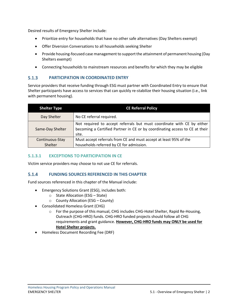Desired results of Emergency Shelter include:

- Prioritize entry for households that have no other safe alternatives (Day Shelters exempt)
- Offer Diversion Conversations to all households seeking Shelter
- Provide housing-focused case management to support the attainment of permanent housing (Day Shelters exempt)
- Connecting households to mainstream resources and benefits for which they may be eligible

#### <span id="page-4-0"></span> $5.1.3$ **PARTICIPATION IN COORDINATED ENTRY**

Service providers that receive funding through ESG must partner with Coordinated Entry to ensure that Shelter participants have access to services that can quickly re-stabilize their housing situation (i.e., link with permanent housing).

| <b>Shelter Type</b> | <b>CE Referral Policy</b>                                                                                                                                      |
|---------------------|----------------------------------------------------------------------------------------------------------------------------------------------------------------|
| Day Shelter         | No CE referral required.                                                                                                                                       |
| Same-Day Shelter    | Not required to accept referrals but must coordinate with CE by either<br>becoming a Certified Partner in CE or by coordinating access to CE at their<br>site. |
| Continuous-Stay     | Must accept referrals from CE and must accept at least 95% of the                                                                                              |
| Shelter             | households referred by CE for admission.                                                                                                                       |

### <span id="page-4-1"></span>**5.1.3.1 EXCEPTIONS TO PARTICIPATION IN CE**

Victim service providers may choose to not use CE for referrals.

#### <span id="page-4-2"></span> $5.1.4$ **FUNDING SOURCES REFERENCED IN THIS CHAPTER**

Fund sources referenced in this chapter of the Manual include:

- Emergency Solutions Grant (ESG), includes both:
	- o State Allocation (ESG State)
	- o County Allocation (ESG County)
- Consolidated Homeless Grant (CHG)
	- o For the purpose of this manual, CHG includes CHG-Hotel Shelter, Rapid Re-Housing, Outreach (CHG-HRO) funds. CHG-HRO funded projects should follow all CHG requirements and grant guidance. **However, CHG-HRO funds may ONLY be used for Hotel Shelter projects.**
- Homeless Document Recording Fee (DRF)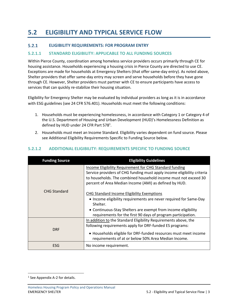# <span id="page-5-0"></span>**5.2 ELIGIBILITY AND TYPICAL SERVICE FLOW**

#### <span id="page-5-1"></span> $5.2.1$ **ELIGIBILITY REQUIREMENTS: FOR PROGRAM ENTRY**

### <span id="page-5-2"></span>**5.2.1.1 STANDARD ELIGIBILITY: APPLICABLE TO ALL FUNDING SOURCES**

Within Pierce County, coordination among homeless service providers occurs primarily through CE for housing assistance. Households experiencing a housing crisis in Pierce County are directed to use CE. Exceptions are made for households at Emergency Shelters (that offer same-day entry). As noted above, Shelter providers that offer same-day entry may screen and serve households before they have gone through CE. However, Shelter providers must partner with CE to ensure participants have access to services that can quickly re-stabilize their housing situation.

Eligibility for Emergency Shelter may be evaluated by individual providers as long as it is in accordance with ESG guidelines (see 24 CFR 576.401). Households must meet the following conditions:

- 1. Households must be experiencing homelessness, in accordance with Category 1 or Category 4 of the U.S. Department of Housing and Urban Development (HUD)'s Homelessness Definition as defined by HUD under 24 CFR Part 578<sup>1</sup>.
- 2. Households must meet an Income Standard. Eligibility varies dependent on fund source. Please see Additional Eligibility Requirements Specific to Funding Source below.

| <b>Funding Source</b> | <b>Eligibility Guidelines</b>                                                                                                                                                                                                                                          |
|-----------------------|------------------------------------------------------------------------------------------------------------------------------------------------------------------------------------------------------------------------------------------------------------------------|
|                       | <b>Income Eligibility Requirement for CHG Standard funding</b><br>Service providers of CHG funding must apply income eligibility criteria<br>to households. The combined household income must not exceed 30<br>percent of Area Median Income (AMI) as defined by HUD. |
| <b>CHG Standard</b>   | CHG Standard Income Eligibility Exemptions<br>• Income eligibility requirements are never required for Same-Day<br>Shelter.<br>• Continuous-Stay Shelters are exempt from income eligibility<br>requirements for the first 90 days of program participation.           |
| <b>DRF</b>            | In addition to the Standard Eligibility Requirements above, the<br>following requirements apply for DRF-funded ES programs:<br>• Households eligible for DRF-funded resources must meet income<br>requirements of at or below 50% Area Median Income.                  |
| ESG                   | No income requirement.                                                                                                                                                                                                                                                 |

### <span id="page-5-3"></span>**5.2.1.2 ADDITIONAL ELIGIBILITY: REQUIREMENTS SPECIFIC TO FUNDING SOURCE**

<sup>&</sup>lt;sup>1</sup> See Appendix A-2 for details.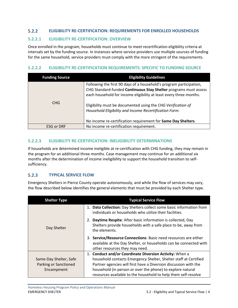#### <span id="page-6-0"></span> $5.2.2$ **ELIGIBILITY RE-CERTIFICATION: REQUIREMENTS FOR ENROLLED HOUSEHOLDS**

### <span id="page-6-1"></span>**5.2.2.1 ELIGIBILITY RE-CERTIFICATION: OVERVIEW**

Once enrolled in the program, households must continue to meet recertification eligibility criteria at intervals set by the funding source. In instances where service providers use multiple sources of funding for the same household, service providers must comply with the more stringent of the requirements.

### <span id="page-6-2"></span>**5.2.2.2 ELIGIBILITY RE-CERTIFICATION REQUIREMENTS: SPECIFIC TO FUNDING SOURCE**

| <b>Funding Source</b> | <b>Eligibility Guidelines</b>                                                                                                                                                                                                                                                                                                           |
|-----------------------|-----------------------------------------------------------------------------------------------------------------------------------------------------------------------------------------------------------------------------------------------------------------------------------------------------------------------------------------|
| CHG                   | Following the first 90 days of a household's program participation,<br>CHG Standard-funded Continuous Stay Shelter programs must assess<br>each household for income eligibility at least every three months.<br>Eligibility must be documented using the CHG Verification of<br>Household Eligibility and Income Recertification Form. |
|                       | No income re-certification requirement for Same Day Shelters.                                                                                                                                                                                                                                                                           |
| <b>ESG or DRF</b>     | No income re-certification requirement.                                                                                                                                                                                                                                                                                                 |

### <span id="page-6-3"></span>**5.2.2.3 ELIGIBILITY RE-CERTIFICATION: INELIGIBILITY DETERMINATIONS**

If households are determined income ineligible at re-certification with CHG funding, they may remain in the program for an additional three months. Case management may continue for an additional six months after the determination of income ineligibility to support the household transition to selfsufficiency.

#### <span id="page-6-4"></span> $5.2.3$ **TYPICAL SERVICE FLOW**

Emergency Shelters in Pierce County operate autonomously, and while the flow of services may vary, the flow described below identifies the general elements that must be provided by each Shelter type.

| <b>Shelter Type</b>    | <b>Typical Service Flow</b>                                                                                                                                             |  |  |
|------------------------|-------------------------------------------------------------------------------------------------------------------------------------------------------------------------|--|--|
|                        | 1. Data Collection: Day Shelters collect some basic information from<br>individuals or households who utilize their facilities.                                         |  |  |
| Day Shelter            | Daytime Respite: After basic information is collected, Day<br>Shelters provide households with a safe place to be, away from<br>the elements.                           |  |  |
|                        | 3. Service/Resource Connections: Basic need resources are either<br>available at the Day Shelter, or households can be connected with<br>other resources they may need. |  |  |
|                        | 1. Conduct and/or Coordinate Diversion Activity: When a                                                                                                                 |  |  |
| Same-Day Shelter, Safe | household contacts Emergency Shelter, Shelter staff at Certified                                                                                                        |  |  |
| Parking or Sanctioned  | Partner agencies will first have a Diversion discussion with the                                                                                                        |  |  |
| Encampment             | household (in person or over the phone) to explore natural                                                                                                              |  |  |
|                        | resources available to the household to help them self-resolve                                                                                                          |  |  |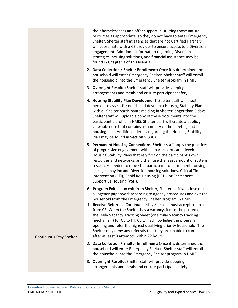|                         | their homelessness and offer support in utilizing those natural<br>resources as appropriate, so they do not have to enter Emergency<br>Shelter. Shelter staff at agencies that are not Certified Partners<br>will coordinate with a CE provider to ensure access to a Diversion<br>engagement. Additional information regarding Diversion<br>strategies, housing solutions, and financial assistance may be<br>found in Chapter 3 of this Manual.                                                                              |
|-------------------------|--------------------------------------------------------------------------------------------------------------------------------------------------------------------------------------------------------------------------------------------------------------------------------------------------------------------------------------------------------------------------------------------------------------------------------------------------------------------------------------------------------------------------------|
|                         | 2. Data Collection / Shelter Enrollment: Once it is determined the<br>household will enter Emergency Shelter, Shelter staff will enroll<br>the household into the Emergency Shelter program in HMIS.                                                                                                                                                                                                                                                                                                                           |
|                         | 3. Overnight Respite: Shelter staff will provide sleeping<br>arrangements and meals and ensure participant safety.                                                                                                                                                                                                                                                                                                                                                                                                             |
|                         | 4. Housing Stability Plan Development: Shelter staff will meet in-<br>person to assess for needs and develop a Housing Stability Plan<br>with all Shelter participants residing in Shelter longer than 5 days.<br>Shelter staff will upload a copy of these documents into the<br>participant's profile in HMIS. Shelter staff will create a publicly<br>viewable note that contains a summary of the meeting and<br>housing plan. Additional details regarding the Housing Stability<br>Plan may be found in Section 5.3.4.2. |
|                         | 5. Permanent Housing Connections: Shelter staff apply the practices<br>of progressive engagement with all participants and develop<br>Housing Stability Plans that rely first on the participant's own<br>resources and networks, and then use the least amount of system<br>resources needed to move the participant to permanent housing.<br>Linkages may include Diversion housing solutions, Critical Time<br>Intervention (CTI), Rapid Re-Housing (RRH), or Permanent<br>Supportive Housing (PSH).                        |
|                         | 6. Program Exit: Upon exit from Shelter, Shelter staff will close out<br>all agency paperwork according to agency procedures and exit the<br>household from the Emergency Shelter program in HMIS.                                                                                                                                                                                                                                                                                                                             |
| Continuous-Stay Shelter | 1. Receive Referrals: Continuous stay Shelters must accept referrals<br>from CE. When the Shelter has a vacancy, it must be posted on<br>the Daily Vacancy Tracking Sheet (or similar vacancy tracking<br>mechanism) for CE to fill. CE will acknowledge the program<br>opening and refer the highest qualifying priority household. The<br>Shelter may deny any referrals that they are unable to contact<br>after at least 3 attempts within 72 hours.                                                                       |
|                         | 2. Data Collection / Shelter Enrollment: Once it is determined the<br>household will enter Emergency Shelter, Shelter staff will enroll<br>the household into the Emergency Shelter program in HMIS.                                                                                                                                                                                                                                                                                                                           |
|                         | 3. Overnight Respite: Shelter staff will provide sleeping<br>arrangements and meals and ensure participant safety.                                                                                                                                                                                                                                                                                                                                                                                                             |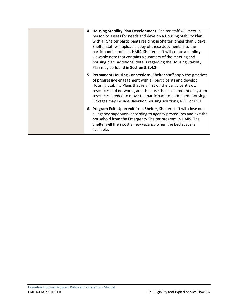|  | 4. Housing Stability Plan Development: Shelter staff will meet in-                                                                  |
|--|-------------------------------------------------------------------------------------------------------------------------------------|
|  | person to assess for needs and develop a Housing Stability Plan                                                                     |
|  | with all Shelter participants residing in Shelter longer than 5 days.                                                               |
|  | Shelter staff will upload a copy of these documents into the                                                                        |
|  | participant's profile in HMIS. Shelter staff will create a publicly                                                                 |
|  | viewable note that contains a summary of the meeting and                                                                            |
|  | housing plan. Additional details regarding the Housing Stability                                                                    |
|  | Plan may be found in Section 5.3.4.2.                                                                                               |
|  | 5. Permanent Housing Connections: Shelter staff apply the practices                                                                 |
|  | of progressive engagement with all participants and develop                                                                         |
|  | Housing Stability Plans that rely first on the participant's own<br>resources and networks, and then use the least amount of system |
|  | resources needed to move the participant to permanent housing.                                                                      |
|  | Linkages may include Diversion housing solutions, RRH, or PSH.                                                                      |
|  |                                                                                                                                     |
|  | 6. Program Exit: Upon exit from Shelter, Shelter staff will close out                                                               |
|  | all agency paperwork according to agency procedures and exit the                                                                    |
|  | household from the Emergency Shelter program in HMIS. The<br>Shelter will then post a new vacancy when the bed space is             |
|  | available.                                                                                                                          |
|  |                                                                                                                                     |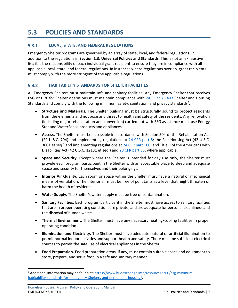# <span id="page-9-0"></span>**5.3 POLICIES AND STANDARDS**

#### <span id="page-9-1"></span> $5.3.1$ **LOCAL, STATE, AND FEDERAL REGULATIONS**

Emergency Shelter programs are governed by an array of state, local, and federal regulations. In addition to the regulations in **Section 1.3: Universal Policies and Standards**. This is not an exhaustive list; it is the responsibility of each individual grant recipient to ensure they are in compliance with all applicable local, state, and federal regulations. In instances where regulations overlap, grant recipients must comply with the more stringent of the applicable regulations.

#### <span id="page-9-2"></span> $5.3.2$ **HABITABILITY STANDARDS FOR SHELTER FACILITIES**

All Emergency Shelters must maintain safe and sanitary facilities. Any Emergency Shelter that receives ESG or DRF for Shelter operations must maintain compliance with [24 CFR 576.403](https://www.ecfr.gov/current/title-24/subtitle-B/chapter-V/subchapter-C/part-576/subpart-E/section-576.403) Shelter and Housing Standards and comply with the following minimum safety, sanitation, and privacy standards<sup>2</sup>:

- **Structure and Materials.** The Shelter building must be structurally sound to protect residents from the elements and not pose any threat to health and safety of the residents. Any renovation (including major rehabilitation and conversion) carried out with ESG assistance must use Energy Star and WaterSense products and appliances.
- **Access.** The Shelter must be accessible in accordance with Section 504 of the Rehabilitation Act (29 U.S.C. 794) and implementing regulations at [24 CFR part 8;](https://www.ecfr.gov/current/title-24/subtitle-A/part-8) the Fair Housing Act (42 U.S.C. 3601 et seq.) and implementing regulations at [24 CFR part 100;](https://www.ecfr.gov/current/title-24/subtitle-B/chapter-I/part-100) and Title II of the Americans with Disabilities Act (42 U.S.C. 12131 et seq.) and [28 CFR part 35;](https://www.ecfr.gov/current/title-28/chapter-I/part-35) where applicable.
- **Space and Security.** Except where the Shelter is intended for day use only, the Shelter must provide each program participant in the Shelter with an acceptable place to sleep and adequate space and security for themselves and their belongings.
- **Interior Air Quality.** Each room or space within the Shelter must have a natural or mechanical means of ventilation. The interior air must be free of pollutants at a level that might threaten or harm the health of residents.
- **Water Supply.** The Shelter's water supply must be free of contamination.
- **Sanitary Facilities.** Each program participant in the Shelter must have access to sanitary facilities that are in proper operating condition, are private, and are adequate for personal cleanliness and the disposal of human waste.
- **Thermal Environment.** The Shelter must have any necessary heating/cooling facilities in proper operating condition.
- **Illumination and Electricity.** The Shelter must have adequate natural or artificial illumination to permit normal indoor activities and support health and safety. There must be sufficient electrical sources to permit the safe use of electrical appliances in the Shelter.
- **Food Preparation.** Food preparation areas, if any, must contain suitable space and equipment to store, prepare, and serve food in a safe and sanitary manner.

<sup>&</sup>lt;sup>2</sup> Additional information may be found at[: https://www.hudexchange.info/resource/3766/esg-minimum](https://www.hudexchange.info/resource/3766/esg-minimum-habitability-standards-for-emergency-shelters-and-permanent-housing/)[habitability-standards-for-emergency-Shelters-and-permanent-housing/.](https://www.hudexchange.info/resource/3766/esg-minimum-habitability-standards-for-emergency-shelters-and-permanent-housing/)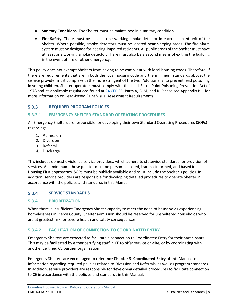- **Sanitary Conditions.** The Shelter must be maintained in a sanitary condition.
- **Fire Safety.** There must be at least one working smoke detector in each occupied unit of the Shelter. Where possible, smoke detectors must be located near sleeping areas. The fire alarm system must be designed for hearing-impaired residents. All public areas of the Shelter must have at least one working smoke detector. There must also be a second means of exiting the building in the event of fire or other emergency.

This policy does not exempt Shelters from having to be compliant with local housing codes. Therefore, if there are requirements that are in both the local housing code and the minimum standards above, the service provider must comply with the more stringent of the two. Additionally, to prevent lead poisoning in young children, Shelter operators must comply with the Lead‐Based Paint Poisoning Prevention Act of 1978 and its applicable regulations found at [24 CFR 35,](https://www.ecfr.gov/current/title-24/subtitle-A/part-35) Parts A, B, M, and R. Please see Appendix B-1 for more information on Lead-Based Paint Visual Assessment Requirements.

#### <span id="page-10-0"></span> $5.3.3$ **REQUIRED PROGRAM POLICIES**

### <span id="page-10-1"></span>**5.3.3.1 EMERGENCY SHELTER STANDARD OPERATING PROCEDURES**

All Emergency Shelters are responsible for developing their own Standard Operating Procedures (SOPs) regarding:

- 1. Admission
- 2. Diversion
- 3. Referral
- 4. Discharge

This includes domestic violence service providers, which adhere to statewide standards for provision of services. At a minimum, these policies must be person-centered, trauma-informed, and based in Housing First approaches. SOPs must be publicly available and must include the Shelter's policies. In addition, service providers are responsible for developing detailed procedures to operate Shelter in accordance with the policies and standards in this Manual.

#### <span id="page-10-2"></span> $5.3.4$ **SERVICE STANDARDS**

### <span id="page-10-3"></span>**5.3.4.1 PRIORITIZATION**

When there is insufficient Emergency Shelter capacity to meet the need of households experiencing homelessness in Pierce County, Shelter admission should be reserved for unsheltered households who are at greatest risk for severe health and safety consequences.

### <span id="page-10-4"></span>**5.3.4.2 FACILITATION OF CONNECTION TO COORDINATED ENTRY**

Emergency Shelters are expected to facilitate a connection to Coordinated Entry for their participants. This may be facilitated by either certifying staff in CE to offer service on-site, or by coordinating with another certified CE partner organization.

Emergency Shelters are encouraged to reference **Chapter 3: Coordinated Entry** of this Manual for information regarding required policies related to Diversion and Referrals, as well as program standards. In addition, service providers are responsible for developing detailed procedures to facilitate connection to CE in accordance with the policies and standards in this Manual.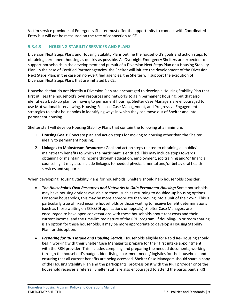Victim service providers of Emergency Shelter must offer the opportunity to connect with Coordinated Entry but will not be measured on the rate of connection to CE.

### <span id="page-11-0"></span>**5.3.4.3 HOUSING STABILITY SERVICES AND PLANS**

Diversion Next Steps Plans and Housing Stability Plans outline the household's goals and action steps for obtaining permanent housing as quickly as possible. All Overnight Emergency Shelters are expected to support households in the development and pursuit of a Diversion Next Steps Plan or a Housing Stability Plan. In the case of Certified Partner agencies, the Shelter will initiate the development of the Diversion Next Steps Plan; in the case on non-Certified agencies, the Shelter will support the execution of Diversion Next Steps Plans that are initiated by CE.

Households that do not identify a Diversion Plan are encouraged to develop a Housing Stability Plan that first utilizes the household's own resources and networks to gain permanent housing, but that also identifies a back-up plan for moving to permanent housing. Shelter Case Managers are encouraged to use Motivational Interviewing, Housing-Focused Case Management, and Progressive Engagement strategies to assist households in identifying ways in which they can move out of Shelter and into permanent housing.

Shelter staff will develop Housing Stability Plans that contain the following at a minimum:

- 1. **Housing Goals:** Concrete plan and action steps for moving to housing other than the Shelter, ideally to permanent housing.
- 2. **Linkages to Mainstream Resources:** Goal and action steps related to obtaining all public/ mainstream benefits to which the participant is entitled. This may include steps towards obtaining or maintaining income through education, employment, job training and/or financial counseling. It may also include linkages to needed physical, mental and/or behavioral health services and supports.

When developing Housing Stability Plans for households, Shelters should help households consider:

- *The Household's Own Resources and Networks to Gain Permanent Housing:* Some households may have housing options available to them, such as returning to doubled-up housing options. For some households, this may be more appropriate than moving into a unit of their own. This is particularly true of fixed income households or those waiting to receive benefit determinations (such as those waiting on SSI/SSDI applications or appeals). Shelter Case Managers are encouraged to have open conversations with these households about rent costs and their current income, and the time-limited nature of the RRH program. If doubling-up or room sharing is an option for these households, it may be more appropriate to develop a Housing Stability Plan for this option.
- *Preparing for RRH Intake and Housing Search:* Households eligible for Rapid Re- Housing should begin working with their Shelter Case Manager to prepare for their first intake appointment with the RRH provider. This includes compiling and preparing the needed documents, working through the household's budget, identifying apartment needs/ logistics for the household, and ensuring that all current benefits are being accessed. Shelter Case Managers should share a copy of the Housing Stability Plan and the participants' progress on it with the RRH provider once the household receives a referral. Shelter staff are also encouraged to attend the participant's RRH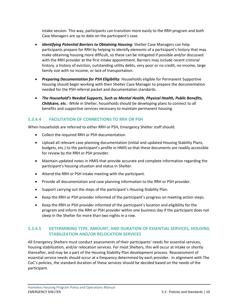intake session. This way, participants can transition more easily to the RRH program and both Case Managers are up to date on the participant's case.

- *Identifying Potential Barriers to Obtaining Housing:* Shelter Case Managers can help participants prepare for RRH by helping to identify elements of a participant's history that may make obtaining housing more difficult, so these can be mitigated if possible and/or discussed with the RRH provider at the first intake appointment. Barriers may include recent criminal history, a history of eviction, outstanding utility debts, very poor or no credit, no income, large family size with no income, or lack of transportation.
- *Preparing Documentation for PSH Eligibility:* Households eligible for Permanent Supportive Housing should begin working with their Shelter Case Manager to prepare the documentation needed for the PSH referral packet and documentation standards.
- *The Household's Needed Supports, Such as Mental Health, Physical Health, Public Benefits, Childcare, etc.*: While in Shelter, households should be developing plans to connect to all benefits and supportive services necessary to maintain permanent housing.

### <span id="page-12-0"></span>**5.3.4.4 FACILITATION OF CONNECTIONS TO RRH OR PSH**

When households are referred to either RRH or PSH, Emergency Shelter staff should:

- Collect the required RRH or PSH documentation.
- Upload all relevant case planning documentation (initial and updated Housing Stability Plans, budgets, etc.) to the participant's profile in HMIS so that these documents are readily accessible for review by the RRH or PSH provider.
- Maintain updated notes in HMIS that provide accurate and complete information regarding the participant's housing situation and status in Shelter.
- Attend the RRH or PSH intake meeting with the participant.
- Provide all documentation and case planning information to the RRH or PSH provider.
- Support carrying out the steps of the participant's Housing Stability Plan.
- Keep the RRH or PSH provider informed of the participant's progress on meeting action steps.
- Keep the RRH or PSH provider informed of the participant's location and eligibility for the program and inform the RRH or PSH provider within one business day if the participant does not sleep in the Shelter for more than two nights in a row.

### <span id="page-12-1"></span>**5.3.4.5 DETERMINING TYPE, AMOUNT, AND DURATION OF ESSENTIAL SERVICES, HOUSING STABILIZATION AND/OR RELOCATION SERVICES**

All Emergency Shelters must conduct assessments of their participants' needs for essential services, housing stabilization, and/or relocation services. For most Shelters, this will occur at intake or shortly thereafter, and may be a part of the Housing Stability Plan development process. Reassessment of essential service needs should occur at a frequency determined by each provider. In alignment with The CoC's policies, the standard duration of these services should be decided based on the needs of the participant.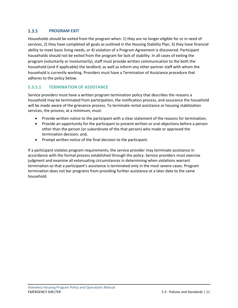#### <span id="page-13-0"></span> $5.3.5$ **PROGRAM EXIT**

Households should be exited from the program when: 1) they are no longer eligible for or in need of services, 2) they have completed all goals as outlined in the Housing Stability Plan, 3) they have financial ability to meet basic living needs, or 4) violation of a Program Agreement is discovered. Participant households should not be exited from the program for lack of stability. In all cases of exiting the program (voluntarily or involuntarily), staff must provide written communication to the both the household (and if applicable) the landlord, as well as inform any other partner staff with whom the household is currently working. Providers must have a Termination of Assistance procedure that adheres to the policy below.

### <span id="page-13-1"></span>**5.3.5.1 TERMINATION OF ASSISTANCE**

Service providers must have a written program termination policy that describes the reasons a household may be terminated from participation, the notification process, and assurance the household will be made aware of the grievance process. To terminate rental assistance or housing stabilization services, the process, at a minimum, must:

- Provide written notice to the participant with a clear statement of the reasons for termination;
- Provide an opportunity for the participant to present written or oral objections before a person other than the person (or subordinate of the that person) who made or approved the termination decision; and,
- Prompt written notice of the final decision to the participant.

If a participant violates program requirements, the service provider may terminate assistance in accordance with the formal process established through the policy. Service providers must exercise judgment and examine all extenuating circumstances in determining when violations warrant termination so that a participant's assistance is terminated only in the most severe cases. Program termination does not bar programs from providing further assistance at a later date to the same household.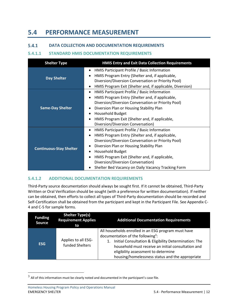## <span id="page-14-0"></span>**5.4 PERFORMANCE MEASUREMENT**

#### <span id="page-14-1"></span> $5.4.1$ **DATA COLLECTION AND DOCUMENTATION REQUIREMENTS**

### <span id="page-14-2"></span>**5.4.1.1 STANDARD HMIS DOCUMENTATION REQUIREMENTS**

| <b>Shelter Type</b>                                                                                                                                                                                                                                                                                                                                                                 | <b>HMIS Entry and Exit Data Collection Requirements</b>                                                                                                                                                                                                                                                                                                                                                                                    |  |  |
|-------------------------------------------------------------------------------------------------------------------------------------------------------------------------------------------------------------------------------------------------------------------------------------------------------------------------------------------------------------------------------------|--------------------------------------------------------------------------------------------------------------------------------------------------------------------------------------------------------------------------------------------------------------------------------------------------------------------------------------------------------------------------------------------------------------------------------------------|--|--|
| <b>Day Shelter</b>                                                                                                                                                                                                                                                                                                                                                                  | HMIS Participant Profile / Basic Information<br>$\bullet$<br>HMIS Program Entry (Shelter and, if applicable,<br>$\bullet$<br>Diversion/Diversion Conversation or Priority Pool)<br>HMIS Program Exit (Shelter and, if applicable, Diversion)<br>$\bullet$                                                                                                                                                                                  |  |  |
| HMIS Participant Profile / Basic Information<br>٠<br>HMIS Program Entry (Shelter and, if applicable,<br>$\bullet$<br>Diversion/Diversion Conversation or Priority Pool)<br><b>Same-Day Shelter</b><br>Diversion Plan or Housing Stability Plan<br>Household Budget<br>$\bullet$<br>HMIS Program Exit (Shelter and, if applicable,<br>$\bullet$<br>Diversion/Diversion Conversation) |                                                                                                                                                                                                                                                                                                                                                                                                                                            |  |  |
| <b>Continuous-Stay Shelter</b>                                                                                                                                                                                                                                                                                                                                                      | HMIS Participant Profile / Basic Information<br>$\bullet$<br>HMIS Program Entry (Shelter and, if applicable,<br>$\bullet$<br>Diversion/Diversion Conversation or Priority Pool)<br>Diversion Plan or Housing Stability Plan<br>$\bullet$<br><b>Household Budget</b><br>$\bullet$<br>HMIS Program Exit (Shelter and, if applicable,<br>$\bullet$<br>Diversion/Diversion Conversation)<br>Shelter Bed Vacancy on Daily Vacancy Tracking Form |  |  |

### <span id="page-14-3"></span>**5.4.1.2 ADDITIONAL DOCUMENTATION REQUIREMENTS**

Third-Party source documentation should always be sought first. If it cannot be obtained, Third-Party Written or Oral Verification should be sought (with a preference for written documentation). If neither can be obtained, then efforts to collect all types of Third-Party documentation should be recorded and Self-Certification shall be obtained from the participant and kept in the Participant File. See Appendix C-4 and C-5 for sample forms.

| <b>Funding</b><br><b>Source</b> | <b>Shelter Type(s)</b><br><b>Requirement Applies</b><br>to | <b>Additional Documentation Requirements</b>                                                                                                                                                                                                                                                                        |
|---------------------------------|------------------------------------------------------------|---------------------------------------------------------------------------------------------------------------------------------------------------------------------------------------------------------------------------------------------------------------------------------------------------------------------|
| <b>ESG</b>                      | Applies to all ESG-<br>funded Shelters                     | All households enrolled in an ESG program must have<br>documentation of the following <sup>3</sup> :<br>Initial Consultation & Eligibility Determination: The<br>1.<br>household must receive an initial consultation and<br>eligibility assessment to determine<br>housing/homelessness status and the appropriate |

 $^3$  All of this information must be clearly noted and documented in the participant's case file.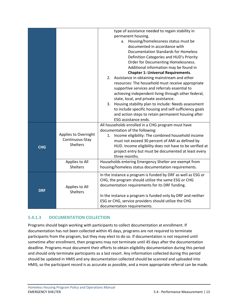|            |                      | type of assistance needed to regain stability in             |  |  |  |
|------------|----------------------|--------------------------------------------------------------|--|--|--|
|            |                      | permanent housing.                                           |  |  |  |
|            |                      | a. Housing/homelessness status must be                       |  |  |  |
|            |                      | documented in accordance with                                |  |  |  |
|            |                      | <b>Documentation Standards for Homeless</b>                  |  |  |  |
|            |                      | Definition Categories and HUD's Priority                     |  |  |  |
|            |                      | Order for Documenting Homelessness.                          |  |  |  |
|            |                      | Additional information may be found in                       |  |  |  |
|            |                      | <b>Chapter 1: Universal Requirements.</b>                    |  |  |  |
|            |                      | 2. Assistance in obtaining mainstream and other              |  |  |  |
|            |                      | resources: The household must receive appropriate            |  |  |  |
|            |                      | supportive services and referrals essential to               |  |  |  |
|            |                      | achieving independent living through other federal,          |  |  |  |
|            |                      | state, local, and private assistance.                        |  |  |  |
|            |                      | 3. Housing stability plan to include: Needs assessment       |  |  |  |
|            |                      | to include specific housing and self-sufficiency goals       |  |  |  |
|            |                      | and action steps to retain permanent housing after           |  |  |  |
|            |                      | ESG assistance ends.                                         |  |  |  |
|            |                      | All households enrolled in a CHG program must have           |  |  |  |
|            | Applies to Overnight | documentation of the following:                              |  |  |  |
|            |                      | Income eligibility: The combined household income<br>1.      |  |  |  |
|            | Continuous-Stay      | must not exceed 30 percent of AMI as defined by              |  |  |  |
| <b>CHG</b> | <b>Shelters</b>      | HUD. Income eligibility does not have to be verified at      |  |  |  |
|            |                      | project entry but must be documented at least every          |  |  |  |
|            |                      | three months.                                                |  |  |  |
|            | Applies to All       | Households entering Emergency Shelter are exempt from        |  |  |  |
|            | Shelters             | housing/homeless status documentation requirements.          |  |  |  |
|            |                      |                                                              |  |  |  |
|            |                      | In the instance a program is funded by DRF as well as ESG or |  |  |  |
|            |                      | CHG, the program should utilize the same ESG or CHG          |  |  |  |
|            | Applies to All       | documentation requirements for its DRF funding.              |  |  |  |
| <b>DRF</b> | <b>Shelters</b>      |                                                              |  |  |  |
|            |                      | In the instance a program is funded only by DRF and neither  |  |  |  |
|            |                      | ESG or CHG, service providers should utilize the CHG         |  |  |  |
|            |                      | documentation requirements.                                  |  |  |  |

### <span id="page-15-0"></span>**5.4.1.3 DOCUMENTATION COLLECTION**

Programs should begin working with participants to collect documentation at enrollment. If documentation has not been collected within 45 days, programs are not required to terminate participants from the program, but they may elect to do so. If documentation is not required until sometime after enrollment, then programs may not terminate until 45 days after the documentation deadline. Programs must document their efforts to obtain eligibility documentation during this period and should only terminate participants as a last resort. Any information collected during this period should be updated in HMIS and any documentation collected should be scanned and uploaded into HMIS, so the participant record is as accurate as possible, and a more appropriate referral can be made.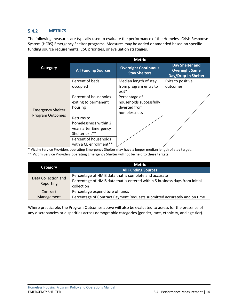#### <span id="page-16-0"></span> $5.4.2$ **METRICS**

The following measures are typically used to evaluate the performance of the Homeless Crisis Response System (HCRS) Emergency Shelter programs. Measures may be added or amended based on specific funding source requirements, CoC priorities, or evaluation strategies.

|                          | <b>Metric</b>              |                                                     |                                                                        |  |  |
|--------------------------|----------------------------|-----------------------------------------------------|------------------------------------------------------------------------|--|--|
| Category                 | <b>All Funding Sources</b> | <b>Overnight Continuous</b><br><b>Stay Shelters</b> | Day Shelter and<br><b>Overnight Same</b><br><b>Day/Drop-In Shelter</b> |  |  |
|                          | Percent of beds            | Median length of stay                               | Exits to positive                                                      |  |  |
|                          | occupied                   | from program entry to<br>$exit*$                    | outcomes                                                               |  |  |
|                          | Percent of households      | Percentage of                                       |                                                                        |  |  |
|                          | exiting to permanent       | households successfully                             |                                                                        |  |  |
| <b>Emergency Shelter</b> | housing                    | diverted from                                       |                                                                        |  |  |
| Program Outcomes         |                            | homelessness                                        |                                                                        |  |  |
|                          | Returns to                 |                                                     |                                                                        |  |  |
|                          | homelessness within 2      |                                                     |                                                                        |  |  |
|                          | years after Emergency      |                                                     |                                                                        |  |  |
|                          | Shelter exit**             |                                                     |                                                                        |  |  |
|                          | Percent of households      |                                                     |                                                                        |  |  |
|                          | with a CE enrollment**     |                                                     |                                                                        |  |  |

\* Victim Service Providers operating Emergency Shelter may have a longer median length of stay target.

\*\* Victim Service Providers operating Emergency Shelter will not be held to these targets.

|                     | <b>Metric</b>                                                               |  |
|---------------------|-----------------------------------------------------------------------------|--|
| Category            | <b>All Funding Sources</b>                                                  |  |
| Data Collection and | Percentage of HMIS data that is complete and accurate                       |  |
| Reporting           | Percentage of HMIS data that is entered within 5 business days from initial |  |
|                     | collection                                                                  |  |
| Contract            | Percentage expenditure of funds                                             |  |
| Management          | Percentage of Contract Payment Requests submitted accurately and on time    |  |

Where practicable, the Program Outcomes above will also be evaluated to assess for the presence of any discrepancies or disparities across demographic categories (gender, race, ethnicity, and age tier).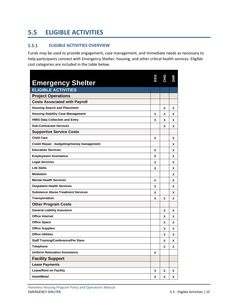# <span id="page-17-0"></span>**5.5 ELIGIBLE ACTIVITIES**

#### <span id="page-17-1"></span> $5.5.1$ **ELIGIBLE ACTIVITIES OVERVIEW**

Funds may be used to provide engagement, case management, and immediate needs as necessary to help participants connect with Emergency Shelter, housing, and other critical health services. Eligible cost categories are included in the table below.

| <b>Emergency Shelter</b>                   | 5S∃ | CНG | g  |
|--------------------------------------------|-----|-----|----|
| <b>ELIGIBLE ACTIVITIES</b>                 |     |     |    |
| <b>Project Operations</b>                  |     |     |    |
| <b>Costs Associated with Payroll</b>       |     |     |    |
| <b>Housing Search and Placement</b>        |     | x   | x  |
| <b>Housing Stability Case Management</b>   | x   | x   | x  |
| <b>HMIS Data Collection and Entry</b>      | x   | x   | x  |
| <b>Sub-Contracted Services</b>             |     | x   | x  |
| <b>Supportive Service Costs</b>            |     |     |    |
| <b>Child Care</b>                          | x   |     | x  |
| Credit Repair - budgeting/money management |     |     | x  |
| <b>Education Services</b>                  | x   |     | x  |
| <b>Employment Assistance</b>               | x   |     | x  |
| <b>Legal Services</b>                      | x   |     | х  |
| <b>Life Skills</b>                         | x   |     | х  |
| <b>Mediation</b>                           |     |     | x  |
| <b>Mental Health Services</b>              | x   |     | x  |
| <b>Outpatient Health Services</b>          | x   |     | x  |
| <b>Substance Abuse Treatment Services</b>  | x   |     | x  |
| <b>Transportation</b>                      | x   | x   | x  |
| <b>Other Program Costs</b>                 |     |     |    |
| <b>General Liability Insurance</b>         |     | x   | x  |
| <b>Office Internet</b>                     |     | x   | x  |
| <b>Office Space</b>                        |     | x   | x  |
| <b>Office Supplies</b>                     |     | x   | x  |
| <b>Office Utilities</b>                    |     | x   | x  |
| <b>Staff Training/Conference/Per Diem</b>  |     | х   | x  |
| <b>Telephone</b>                           |     | X   | X  |
| <b>Uniform Relocation Assistance</b>       | x   |     |    |
| <b>Facility Support</b>                    |     |     |    |
| <b>Lease Payments</b>                      |     |     |    |
| <b>Lease/Rent on Facility</b>              | x   | x   | x  |
| <b>Hotel/Motel</b>                         | x   | x   | X. |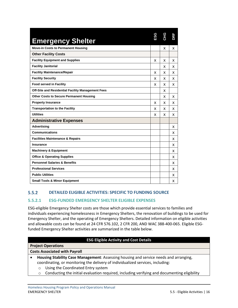| <b>Emergency Shelter</b>                                 | ESG | <b>CHG</b> | ΒĪ |
|----------------------------------------------------------|-----|------------|----|
| <b>Move-in Costs to Permanent Housing</b>                |     | x          | x  |
| <b>Other Facility Costs</b>                              |     |            |    |
| <b>Facility Equipment and Supplies</b>                   | x   | x          | x  |
| <b>Facility Janitorial</b>                               |     | x          | x  |
| <b>Facility Maintenance/Repair</b>                       | X   | x          | x  |
| <b>Facility Security</b>                                 | x   | x          | x  |
| <b>Food served in Facility</b>                           | x   | x          | x  |
| <b>Off-Site and Residential Facility Management Fees</b> |     | x          |    |
| <b>Other Costs to Secure Permanent Housing</b>           |     | X          | x  |
| <b>Property Insurance</b>                                | x   | x          | x  |
| <b>Transportation to the Facility</b>                    | x   | x          | x  |
| <b>Utilities</b>                                         | x   | x          | x  |
| <b>Administrative Expenses</b>                           |     |            |    |
| <b>Advertising</b>                                       |     |            | x  |
| <b>Communications</b>                                    |     |            | x  |
| <b>Facilities Maintenance &amp; Repairs</b>              |     |            | x  |
| Insurance                                                |     |            | x  |
| <b>Machinery &amp; Equipment</b>                         |     |            | x  |
| <b>Office &amp; Operating Supplies</b>                   |     |            | x  |
| <b>Personnel Salaries &amp; Benefits</b>                 |     |            | x  |
| <b>Professional Services</b>                             |     |            | x  |
| <b>Public Utilities</b>                                  |     |            | x  |
| <b>Small Tools &amp; Minor Equipment</b>                 |     |            | x  |

#### <span id="page-18-0"></span> $5.5.2$ **DETAILED ELIGIBLE ACTIVITIES: SPECIFIC TO FUNDING SOURCE**

### <span id="page-18-1"></span>**5.5.2.1 ESG-FUNDED EMERGENCY SHELTER ELIGIBLE EXPENSES**

ESG-eligible Emergency Shelter costs are those which provide essential services to families and individuals experiencing homelessness in Emergency Shelters, the renovation of buildings to be used for Emergency Shelter, and the operating of Emergency Shelters. Detailed information on eligible activities and allowable costs can be found at 24 CFR 576.102, 2 CFR 200, AND WAC 388-400-065. Eligible ESGfunded Emergency Shelter activities are summarized in the table below.

### **ESG Eligible Activity and Cost Details**

| <b>Project Operations</b>            |  |
|--------------------------------------|--|
| <b>Costs Associated with Payroll</b> |  |

- **Housing Stability Case Management**: Assessing housing and service needs and arranging, coordinating, or monitoring the delivery of individualized services, including:
	- o Using the Coordinated Entry system
	- $\circ$  Conducting the initial evaluation required, including verifying and documenting eligibility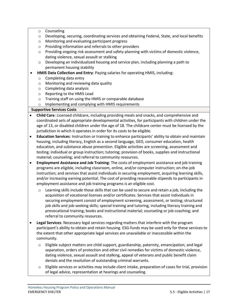- o Counseling
- o Developing, securing, coordinating services and obtaining Federal, State, and local benefits
- o Monitoring and evaluating participant progress
- o Providing information and referrals to other providers
- $\circ$  Providing ongoing risk assessment and safety planning with victims of domestic violence, dating violence, sexual assault or stalking
- o Developing an individualized housing and service plan, including planning a path to permanent housing stability
- **HMIS Data Collection and Entry**: Paying salaries for operating HMIS, including:
	- o Completing data entry
	- o Monitoring and reviewing data quality
	- o Completing data analysis
	- o Reporting to the HMIS Lead
	- o Training staff on using the HMIS or comparable database
	- o Implementing and complying with HMIS requirements

### **Supportive Services Costs**

- **Child Care**: Licensed childcare, including providing meals and snacks, and comprehensive and coordinated sets of appropriate developmental activities, for participants with children under the age of 13, or disabled children under the age of 18. The childcare center must be licensed by the jurisdiction in which it operates in order for its costs to be eligible.
- **Education Services**: Instruction or training to enhance participants' ability to obtain and maintain housing, including literacy, English as a second language, GED, consumer education, health education, and substance abuse prevention. Eligible activities are screening, assessment and testing; individual or group instruction; tutoring; provision of books, supplies and instructional material; counseling; and referral to community resources.
- **Employment Assistance and Job Training**: The costs of employment assistance and job training programs are eligible, including classroom, online, and/or computer instruction; on-the-job instruction; and services that assist individuals in securing employment, acquiring learning skills, and/or increasing earning potential. The cost of providing reasonable stipends to participants in employment assistance and job training programs is an eligible cost.
	- o Learning skills include those skills that can be used to secure and retain a job, including the acquisition of vocational licenses and/or certificates. Services that assist individuals in securing employment consist of employment screening, assessment, or testing; structured job skills and job-seeking skills; special training and tutoring, including literacy training and prevocational training; books and instructional material; counseling or job coaching; and referral to community resources.
- **Legal Services**: Necessary legal services regarding matters that interfere with the program participant's ability to obtain and retain housing. ESG-funds may be used only for these services to the extent that other appropriate legal services are unavailable or inaccessible within the community.
	- o Eligible subject matters are child support, guardianship, paternity, emancipation, and legal separation, orders of protection and other civil remedies for victims of domestic violence, dating violence, sexual assault and stalking, appeal of veterans and public benefit claim denials and the resolution of outstanding criminal warrants.
	- o Eligible services or activities may include client intake, preparation of cases for trial, provision of legal advice, representation at hearings and counseling.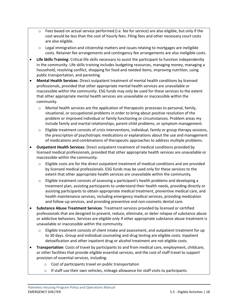- o Fees based on actual service performed (i.e. fee for service) are also eligible, but only if the cost would be less than the cost of hourly fees. Filing fees and other necessary court costs are also eligible.
- $\circ$  Legal immigration and citizenship matters and issues relating to mortgages are ineligible costs. Retainer fee arrangements and contingency fee arrangements are also ineligible costs.
- **Life Skills Training**: Critical life skills necessary to assist the participant to function independently in the community. Life skills training includes budgeting resources, managing money, managing a household, resolving conflict, shopping for food and needed items, improving nutrition, using public transportation, and parenting.
- **Mental Health Services**: Direct outpatient treatment of mental health conditions by licensed professionals, provided that other appropriate mental health services are unavailable or inaccessible within the community. ESG funds may only be used for these services to the extent that other appropriate mental health services are unavailable or inaccessible within the community.
	- o Mental health services are the application of therapeutic processes to personal, family, situational, or occupational problems in order to bring about positive resolution of the problem or improved individual or family functioning or circumstances. Problem areas my include family and marital relationships, parent-child problems, or symptom management.
	- $\circ$  Eligible treatment consists of crisis interventions, individual, family or group therapy sessions, the prescription of psychotropic medications or explanations about the use and management of medications and combinations of therapeutic approaches to address multiple problems.
- **Outpatient Health Services**: Direct outpatient treatment of medical conditions provided by licensed medical professionals, provided that other appropriate health services are unavailable or inaccessible within the community.
	- o Eligible costs are for the direct outpatient treatment of medical conditions and are provided by licensed medical professionals. ESG funds may be used only for these services to the extent that other appropriate health services are unavailable within the community.
	- $\circ$  Eligible treatment consists of assessing a participant's health problems and developing a treatment plan, assisting participants to understand their health needs, providing directly or assisting participants to obtain appropriate medical treatment, preventive medical care, and health maintenance services, including emergency medical services, providing medication and follow-up services, and providing preventive and non-cosmetic dental care.
- **Substance Abuse Treatment Services**: Treatment services provided by licensed or certified professionals that are designed to prevent, reduce, eliminate, or deter relapse of substance abuse or addictive behaviors. Services are eligible only if other appropriate substance abuse treatment is unavailable or inaccessible within the community.
	- $\circ$  Eligible treatment consists of client intake and assessment, and outpatient treatment for up to 30 days. Group and individual counseling and drug testing are eligible costs. Inpatient detoxification and other inpatient drug or alcohol treatment are not eligible costs.
- **Transportation**: Costs of travel by participants to and from medical care, employment, childcare, or other facilities that provide eligible essential services, and the cost of staff travel to support provision of essential services, including:
	- o Cost of participants travel on public transportation
	- $\circ$  If staff use their own vehicles, mileage allowance for staff visits to participants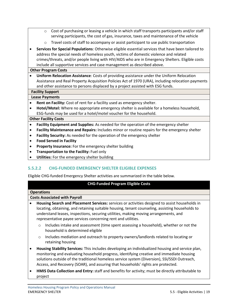- $\circ$  Cost of purchasing or leasing a vehicle in which staff transports participants and/or staff serving participants, the cost of gas, insurance, taxes and maintenance of the vehicle
- o Travel costs of staff to accompany or assist participant to use public transportation
- **Services for Special Populations**: Otherwise eligible essential services that have been tailored to address the special needs of homeless youth, victims of domestic violence and related crimes/threats, and/or people living with HIV/AIDS who are in Emergency Shelters. Eligible costs include all supportive services and case management as described above.

### **Other Program Costs**

• **Uniform Relocation Assistance**: Costs of providing assistance under the Uniform Relocation Assistance and Real Property Acquisition Policies Act of 1970 (URA), including relocation payments and other assistance to persons displaced by a project assisted with ESG funds.

### **Facility Support Lease Payments**

- **Rent on Facility:** Cost of rent for a facility used as emergency shelter.
- **Hotel/Motel:** Where no appropriate emergency shelter is available for a homeless household, ESG-funds may be used for a hotel/motel voucher for the household.

### **Other Facility Costs**

- **Facility Equipment and Supplies:** As needed for the operation of the emergency shelter
- **Facility Maintenance and Repairs:** Includes minor or routine repairs for the emergency shelter
- **Facility Security:** As needed for the operation of the emergency shelter
- **Food Served in Facility**
- **Property Insurance:** For the emergency shelter building
- **Transportation to the Facility:** Fuel only
- Utilities: For the emergency shelter building

### <span id="page-21-0"></span>**5.5.2.2 CHG-FUNDED EMERGENCY SHELTER ELIGIBLE EXPENSES**

Eligible CHG-funded Emergency Shelter activities are summarized in the table below.

### **CHG-Funded Program Eligible Costs**

|                                      | <b>Operations</b>                                                                                                                                                                                                                                                                                                                                                                |                                                                                                                           |  |
|--------------------------------------|----------------------------------------------------------------------------------------------------------------------------------------------------------------------------------------------------------------------------------------------------------------------------------------------------------------------------------------------------------------------------------|---------------------------------------------------------------------------------------------------------------------------|--|
| <b>Costs Associated with Payroll</b> |                                                                                                                                                                                                                                                                                                                                                                                  |                                                                                                                           |  |
|                                      | Housing Search and Placement Services: services or activities designed to assist households in<br>locating, obtaining, and retaining suitable housing, tenant counseling, assisting households to<br>understand leases, inspections, securing utilities, making moving arrangements, and<br>representative payee services concerning rent and utilities.                         |                                                                                                                           |  |
|                                      | $\circ$                                                                                                                                                                                                                                                                                                                                                                          | Includes intake and assessment (time spent assessing a household), whether or not the<br>household is determined eligible |  |
|                                      | $\circ$                                                                                                                                                                                                                                                                                                                                                                          | Includes mediation and outreach to property owners/landlords related to locating or<br>retaining housing                  |  |
| $\bullet$                            | Housing Stability Services: This includes developing an individualized housing and service plan,<br>monitoring and evaluating household progress, identifying creative and immediate housing<br>solutions outside of the traditional homeless service system (Diversion), SSI/SSDI Outreach,<br>Access, and Recovery (SOAR), and assuring that households' rights are protected. |                                                                                                                           |  |
|                                      | project                                                                                                                                                                                                                                                                                                                                                                          | HMIS Data Collection and Entry: staff and benefits for activity; must be directly attributable to                         |  |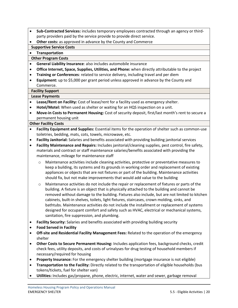- **Sub-Contracted Services:** includes temporary employees contracted through an agency or thirdparty providers paid by the service provide to provide direct service.
- **Other costs:** as approved in advance by the County and Commerce

### **Supportive Service Costs**

### • **Transportation**

### **Other Program Costs**

- **General Liability Insurance**: also includes automobile insurance
- **Office Internet, Space, Supplies, Utilities, and Phone:** when directly attributable to the project
- **Training or Conferences**: related to service delivery, including travel and per diem
- **Equipment:** up to \$5,000 per grant period unless approved in advance by the County and Commerce.

### **Facility Support**

### **Lease Payments**

- **Lease/Rent on Facility:** Cost of lease/rent for a facility used as emergency shelter.
- **Hotel/Motel:** When used as shelter or waiting for an HQS inspection on a unit.
- **Move-in Costs to Permanent Housing:** Cost of security deposit, first/last month's rent to secure a permanent housing unit

### **Other Facility Costs**

- **Facility Equipment and Supplies:** Essential items for the operation of shelter such as common-use toiletries, bedding, mats, cots, towels, microwave, etc.
- **Facility Janitorial:** Salaries and benefits associated with providing building janitorial services
- **Facility Maintenance and Repairs:** Includes janitorial/cleaning supplies, pest control, fire safety, materials and contract or staff maintenance salaries/benefits associated with providing the maintenance, mileage for maintenance staff
	- o Maintenance activities include cleaning activities, protective or preventative measures to keep a building, its systems and its grounds in working order and replacement of existing appliances or objects that are not fixtures or part of the building. Maintenance activities should fix, but not make improvements that would add value to the building
	- o Maintenance activities do not include the repair or replacement of fixtures or parts of the building. A fixture is an object that is physically attached to the building and cannot be removed without damage to the building. Fixtures also include, but are not limited to kitchen cabinets, built-in shelves, toilets, light fixtures, staircases, crown molding, sinks, and bathtubs. Maintenance activities do not include the installment or replacement of systems designed for occupant comfort and safety such as HVAC, electrical or mechanical systems, sanitation, fire suppression, and plumbing.
- **Facility Security:** Salaries and benefits associated with providing building security
- **Food Served in Facility**
- **Off-site and Residential Facility Management Fees:** Related to the operation of the emergency shelter
- **Other Costs to Secure Permanent Housing:** Includes application fees, background checks, credit check fees, utility deposits, and costs of urinalyses for drug testing of household members if necessary/required for housing
- **Property Insurance:** For the emergency shelter building (mortgage insurance is not eligible)
- **Transportation to the Facility:** Directly related to the transportation of eligible households (bus tokens/tickets, fuel for shelter van)
- **Utilities:** Includes gas/propane, phone, electric, internet, water and sewer, garbage removal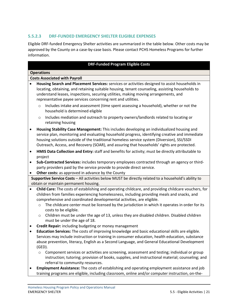### <span id="page-23-0"></span>**5.5.2.3 DRF-FUNDED EMERGENCY SHELTER ELIGIBLE EXPENSES**

Eligible DRF-funded Emergency Shelter activities are summarized in the table below. Other costs may be approved by the County on a case-by-case basis. Please contact PCHS Homeless Programs for further information.

### **DRF-Funded Program Eligible Costs**

### **Operations**

|           | <b>Costs Associated with Payroll</b>                                                                                                                                                                                                                                                                                                                                                                                |  |  |
|-----------|---------------------------------------------------------------------------------------------------------------------------------------------------------------------------------------------------------------------------------------------------------------------------------------------------------------------------------------------------------------------------------------------------------------------|--|--|
| $\bullet$ | Housing Search and Placement Services: services or activities designed to assist households in<br>locating, obtaining, and retaining suitable housing, tenant counseling, assisting households to<br>understand leases, inspections, securing utilities, making moving arrangements, and<br>representative payee services concerning rent and utilities.                                                            |  |  |
|           | Includes intake and assessment (time spent assessing a household), whether or not the<br>$\circ$<br>household is determined eligible                                                                                                                                                                                                                                                                                |  |  |
|           | Includes mediation and outreach to property owners/landlords related to locating or<br>$\circ$<br>retaining housing                                                                                                                                                                                                                                                                                                 |  |  |
| $\bullet$ | Housing Stability Case Management: This includes developing an individualized housing and<br>service plan, monitoring and evaluating household progress, identifying creative and immediate<br>housing solutions outside of the traditional homeless service system (Diversion), SSI/SSDI<br>Outreach, Access, and Recovery (SOAR), and assuring that households' rights are protected.                             |  |  |
| $\bullet$ | HMIS Data Collection and Entry: staff and benefits for activity; must be directly attributable to<br>project                                                                                                                                                                                                                                                                                                        |  |  |
| $\bullet$ | Sub-Contracted Services: includes temporary employees contracted through an agency or third-<br>party providers paid by the service provide to provide direct service.                                                                                                                                                                                                                                              |  |  |
| $\bullet$ | Other costs: as approved in advance by the County                                                                                                                                                                                                                                                                                                                                                                   |  |  |
|           | Supportive Service Costs - All activities below MUST be directly related to a household's ability to                                                                                                                                                                                                                                                                                                                |  |  |
|           | obtain or maintain permanent housing.                                                                                                                                                                                                                                                                                                                                                                               |  |  |
| $\bullet$ | Child Care: The costs of establishing and operating childcare, and providing childcare vouchers, for<br>children from families experiencing homelessness, including providing meals and snacks, and<br>comprehensive and coordinated developmental activities, are eligible.<br>The childcare center must be licensed by the jurisdiction in which it operates in order for its<br>$\circ$<br>costs to be eligible. |  |  |
|           | Children must be under the age of 13, unless they are disabled children. Disabled children<br>$\circ$<br>must be under the age of 18.                                                                                                                                                                                                                                                                               |  |  |
| $\bullet$ | Credit Repair: including budgeting or money management                                                                                                                                                                                                                                                                                                                                                              |  |  |
| $\bullet$ | Education Services: The costs of improving knowledge and basic educational skills are eligible.<br>Services may include instruction or training in consumer education, health education, substance<br>abuse prevention, literacy, English as a Second Language, and General Educational Development<br>$(GED)$ .                                                                                                    |  |  |
|           | Component services or activities are screening, assessment and testing; individual or group<br>$\circ$<br>instruction; tutoring; provision of books, supplies, and instructional material; counseling; and<br>referral to community resources.                                                                                                                                                                      |  |  |
| $\bullet$ | Employment Assistance: The costs of establishing and operating employment assistance and job<br>training programs are eligible, including classroom, online and/or computer instruction, on-the-                                                                                                                                                                                                                    |  |  |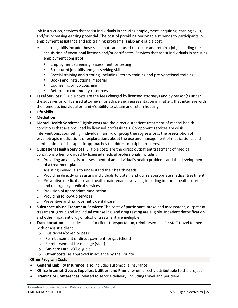job instruction, services that assist individuals in securing employment, acquiring learning skills, and/or increasing earning potential. The cost of providing reasonable stipends to participants in employment assistance and job training programs is also an eligible cost.

- $\circ$  Learning skills include those skills that can be used to secure and retain a job, including the acquisition of vocational licenses and/or certificates. Services that assist individuals in securing employment consist of:
	- Employment screening, assessment, or testing
	- Structured job skills and job-seeking skills
	- Special training and tutoring, including literacy training and pre-vocational training
	- Books and instructional material
	- Counseling or job coaching
	- Referral to community resources
- **Legal Services:** Eligible costs are the fees charged by licensed attorneys and by person(s) under the supervision of licensed attorneys, for advice and representation in matters that interfere with the homeless individual or family's ability to obtain and retain housing.
- **Life Skills**
- **Mediation**
- **Mental Health Services:** Eligible costs are the direct outpatient treatment of mental health conditions that are provided by licensed professionals. Component services are crisis interventions; counseling; individual, family, or group therapy sessions; the prescription of psychotropic medications or explanations about the use and management of medications; and combinations of therapeutic approaches to address multiple problems.
- **Outpatient Health Services:** Eligible costs are the direct outpatient treatment of medical conditions when provided by licensed medical professionals including:
	- o Providing an analysis or assessment of an individual's health problems and the development of a treatment plan
	- o Assisting individuals to understand their health needs
	- o Providing directly or assisting individuals to obtain and utilize appropriate medical treatment
	- $\circ$  Preventive medical care and health maintenance services, including in-home health services and emergency medical services
	- o Provision of appropriate medication
	- o Providing follow-up services
	- o Preventive and non-cosmetic dental care
- **Substance Abuse Treatment Services:** The costs of participant intake and assessment, outpatient treatment, group and individual counseling, and drug testing are eligible. Inpatient detoxification and other inpatient drug or alcohol treatment are ineligible.
- **Transportation** includes costs for client transportation, reimbursement for staff travel to meet with or assist a client
	- o Bus tickets/token or pass
	- o Reimbursement or direct payment for gas (client)
	- o Reimbursement for mileage (staff)
	- o Gas cards are NOT eligible
	- o **Other costs:** as approved in advance by the County

### **Other Program Costs**

- **General Liability Insurance**: also includes automobile insurance
- **Office Internet, Space, Supplies, Utilities, and Phone:** when directly attributable to the project
- **Training or Conferences**: related to service delivery, including travel and per diem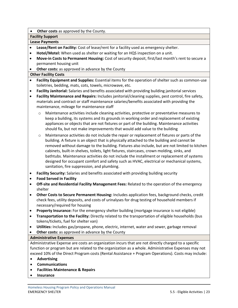**Other costs** as approved by the County.

### **Facility Support**

### **Lease Payments**

- **Lease/Rent on Facility:** Cost of lease/rent for a facility used as emergency shelter.
- **Hotel/Motel:** When used as shelter or waiting for an HQS inspection on a unit.
- **Move-in Costs to Permanent Housing:** Cost of security deposit, first/last month's rent to secure a permanent housing unit
- **Other costs:** as approved in advance by the County

### **Other Facility Costs**

- **Facility Equipment and Supplies:** Essential items for the operation of shelter such as common-use toiletries, bedding, mats, cots, towels, microwave, etc.
- **Facility Janitorial:** Salaries and benefits associated with providing building janitorial services
- **Facility Maintenance and Repairs:** Includes janitorial/cleaning supplies, pest control, fire safety, materials and contract or staff maintenance salaries/benefits associated with providing the maintenance, mileage for maintenance staff
	- o Maintenance activities include cleaning activities, protective or preventative measures to keep a building, its systems and its grounds in working order and replacement of existing appliances or objects that are not fixtures or part of the building. Maintenance activities should fix, but not make improvements that would add value to the building
	- o Maintenance activities do not include the repair or replacement of fixtures or parts of the building. A fixture is an object that is physically attached to the building and cannot be removed without damage to the building. Fixtures also include, but are not limited to kitchen cabinets, built-in shelves, toilets, light fixtures, staircases, crown molding, sinks, and bathtubs. Maintenance activities do not include the installment or replacement of systems designed for occupant comfort and safety such as HVAC, electrical or mechanical systems, sanitation, fire suppression, and plumbing.
- **Facility Security:** Salaries and benefits associated with providing building security
- **Food Served in Facility**
- **Off-site and Residential Facility Management Fees:** Related to the operation of the emergency shelter
- **Other Costs to Secure Permanent Housing:** Includes application fees, background checks, credit check fees, utility deposits, and costs of urinalyses for drug testing of household members if necessary/required for housing
- **Property Insurance:** For the emergency shelter building (mortgage insurance is not eligible)
- **Transportation to the Facility:** Directly related to the transportation of eligible households (bus tokens/tickets, fuel for shelter van)
- **Utilities:** Includes gas/propane, phone, electric, internet, water and sewer, garbage removal
- **Other costs:** as approved in advance by the County

### **Administrative Expenses**

Administrative Expense are costs an organization incurs that are not directly charged to a specific function or program but are related to the organization as a whole. Administrative Expenses may not exceed 10% of the Direct Program costs (Rental Assistance + Program Operations). Costs may include:

- **Advertising**
- **Communications**
- **Facilities Maintenance & Repairs**
- **Insurance**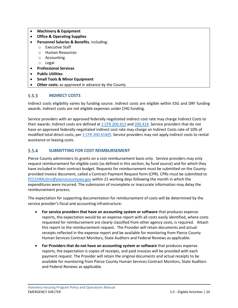- **Machinery & Equipment**
- **Office & Operating Supplies**
- **Personnel Salaries & Benefits**, including:
	- o Executive Staff
	- o Human Resources
	- o Accounting
	- o Legal
- **Professional Services**
- **Public Utilities**
- **Small Tools & Minor Equipment**
- **Other costs:** as approved in advance by the County

#### <span id="page-26-0"></span> $5.5.3$ **INDIRECT COSTS**

Indirect costs eligibility varies by funding source. Indirect costs are eligible within ESG and DRF funding awards. Indirect costs are not eligible expenses under CHG funding.

Service providers with an approved federally negotiated indirect cost rate may charge Indirect Costs to their awards. Indirect costs are defined a[t 2 CFR 200.413](https://www.ecfr.gov/current/title-2/subtitle-A/chapter-II/part-200/subpart-E/subject-group-ECFRd93f2a98b1f6455/section-200.413) and [200.414.](https://www.ecfr.gov/current/title-2/subtitle-A/chapter-II/part-200/subpart-E/subject-group-ECFRd93f2a98b1f6455/section-200.414) Service providers that do not have an approved federally negotiated indirect cost rate may charge an Indirect Costs rate of 10% of modified total direct costs, per [2 CFR 200.414\(f\).](https://www.ecfr.gov/current/title-2/subtitle-A/chapter-II/part-200/subpart-E/subject-group-ECFRd93f2a98b1f6455/section-200.414#p-200.414(f)) Service providers may not apply indirect costs to rental assistance or leasing costs.

#### <span id="page-26-1"></span> $5.5.4$ **SUBMITTING FOR COST REIMBURSEMENT**

Pierce County administers its grants on a cost reimbursement basis only. Service providers may only request reimbursement for eligible costs (as defined in this section, by fund source) and for which they have included in their contract budget. Requests for reimbursement must be submitted on the Countyprovided invoice document, called a Contract Payment Request form (CPR). CPRs must be submitted to [PCCCHMLSInv@piercecountywa.gov](mailto:PCCCHMLSInv@piercecountywa.gov) within 21 working days following the month in which the expenditures were incurred. The submission of incomplete or inaccurate information may delay the reimbursement process.

The expectation for supporting documentation for reimbursement of costs will be determined by the service provider's fiscal and accounting infrastructure:

- **For service providers that have an accounting system or software** that produces expense reports, the expectation would be an expense report with all costs easily identified, where costs requested for reimbursement are clearly classified from other agency costs, is required. Attach this report to the reimbursement request. The Provider will retain documents and actual receipts reflected in the expense report and be available for monitoring from Pierce County Human Services Contract Monitors, State Auditors and Federal Reviews as applicable.
- **For Providers that do not have an accounting system or software** that produces expense reports, the expectation is copies of receipts, and paid invoices will be provided with each payment request. The Provider will retain the original documents and actual receipts to be available for monitoring from Pierce County Human Services Contract Monitors, State Auditors and Federal Reviews as applicable.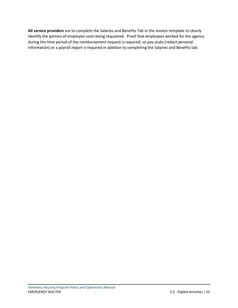**All service providers** are to complete the Salaries and Benefits Tab in the invoice template to clearly identify the portion of employee costs being requested. Proof that employees worked for the agency during the time period of the reimbursement request is required, so pay stubs (redact personal information) or a payroll report is required in addition to completing the Salaries and Benefits tab.